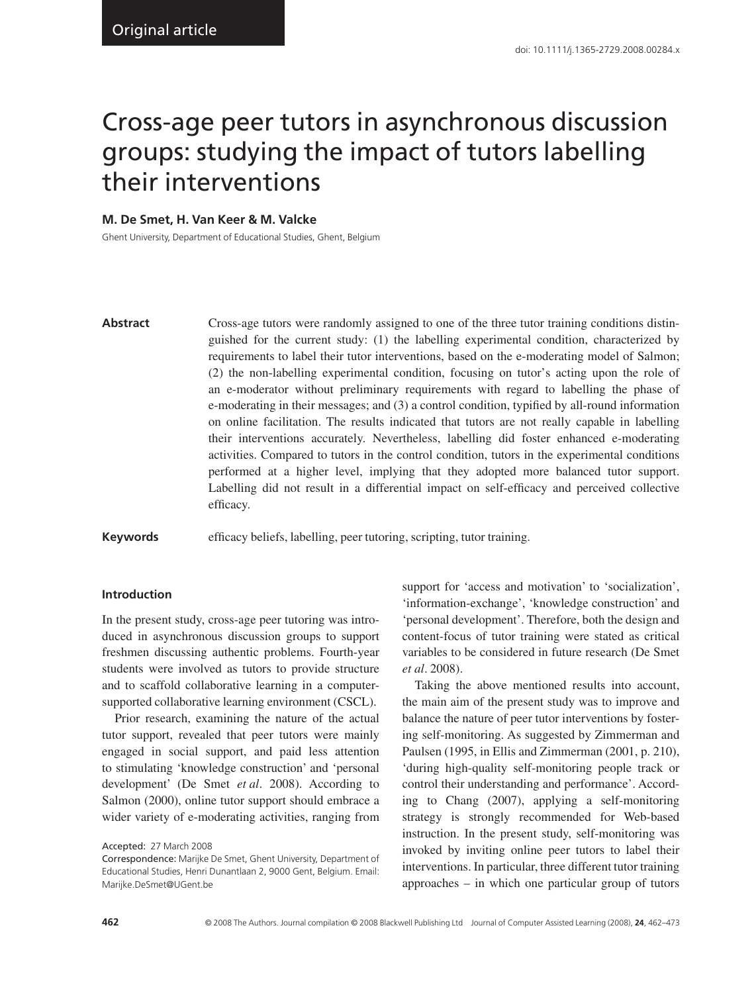# Cross-age peer tutors in asynchronous discussion groups: studying the impact of tutors labelling their interventions

## **M. De Smet, H. Van Keer & M. Valcke**

Ghent University, Department of Educational Studies, Ghent, Belgium

**Abstract** Cross-age tutors were randomly assigned to one of the three tutor training conditions distinguished for the current study: (1) the labelling experimental condition, characterized by requirements to label their tutor interventions, based on the e-moderating model of Salmon; (2) the non-labelling experimental condition, focusing on tutor's acting upon the role of an e-moderator without preliminary requirements with regard to labelling the phase of e-moderating in their messages; and (3) a control condition, typified by all-round information on online facilitation. The results indicated that tutors are not really capable in labelling their interventions accurately. Nevertheless, labelling did foster enhanced e-moderating activities. Compared to tutors in the control condition, tutors in the experimental conditions performed at a higher level, implying that they adopted more balanced tutor support. Labelling did not result in a differential impact on self-efficacy and perceived collective efficacy.

**Keywords** efficacy beliefs, labelling, peer tutoring, scripting, tutor training.

# **Introduction**

In the present study, cross-age peer tutoring was introduced in asynchronous discussion groups to support freshmen discussing authentic problems. Fourth-year students were involved as tutors to provide structure and to scaffold collaborative learning in a computersupported collaborative learning environment (CSCL).

Prior research, examining the nature of the actual tutor support, revealed that peer tutors were mainly engaged in social support, and paid less attention to stimulating 'knowledge construction' and 'personal development' (De Smet *et al*. 2008). According to Salmon (2000), online tutor support should embrace a wider variety of e-moderating activities, ranging from

Correspondence: Marijke De Smet, Ghent University, Department of Educational Studies, Henri Dunantlaan 2, 9000 Gent, Belgium. Email: Marijke[.DeSmet@UGent.be](mailto:DeSmet@UGent.be)

support for 'access and motivation' to 'socialization', 'information-exchange', 'knowledge construction' and 'personal development'. Therefore, both the design and content-focus of tutor training were stated as critical variables to be considered in future research (De Smet *et al*. 2008).

Taking the above mentioned results into account, the main aim of the present study was to improve and balance the nature of peer tutor interventions by fostering self-monitoring. As suggested by Zimmerman and Paulsen (1995, in Ellis and Zimmerman (2001, p. 210), 'during high-quality self-monitoring people track or control their understanding and performance'. According to Chang (2007), applying a self-monitoring strategy is strongly recommended for Web-based instruction. In the present study, self-monitoring was invoked by inviting online peer tutors to label their interventions. In particular, three different tutor training approaches – in which one particular group of tutors

Accepted: 27 March 2008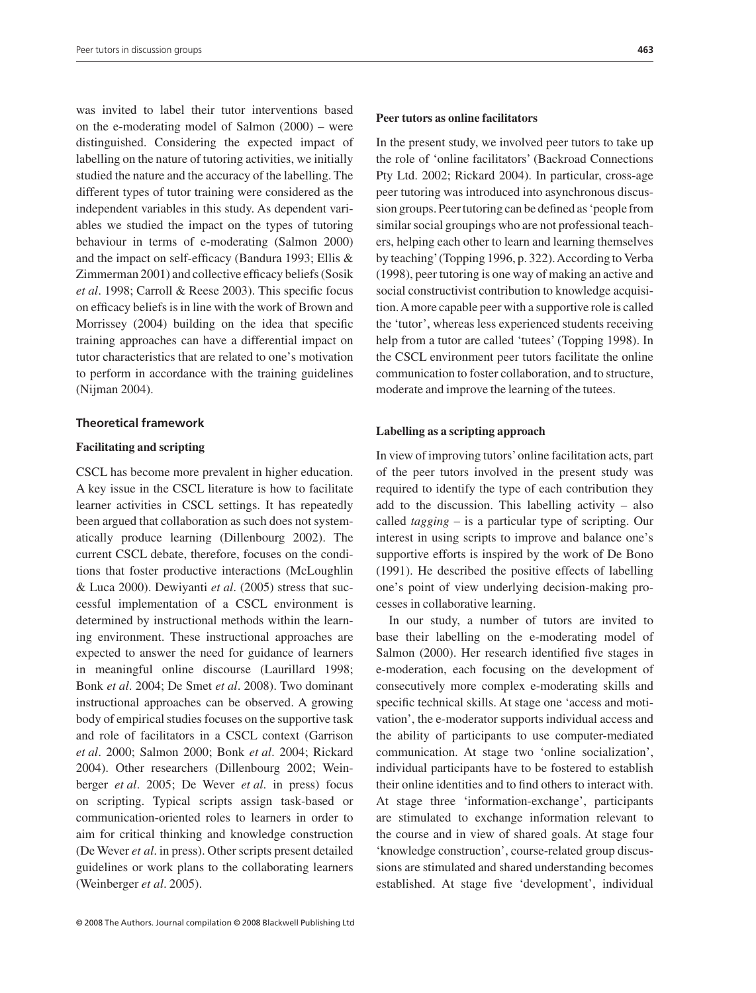was invited to label their tutor interventions based on the e-moderating model of Salmon (2000) – were distinguished. Considering the expected impact of labelling on the nature of tutoring activities, we initially studied the nature and the accuracy of the labelling. The different types of tutor training were considered as the independent variables in this study. As dependent variables we studied the impact on the types of tutoring behaviour in terms of e-moderating (Salmon 2000) and the impact on self-efficacy (Bandura 1993; Ellis & Zimmerman 2001) and collective efficacy beliefs (Sosik *et al*. 1998; Carroll & Reese 2003). This specific focus on efficacy beliefs is in line with the work of Brown and Morrissey (2004) building on the idea that specific training approaches can have a differential impact on tutor characteristics that are related to one's motivation to perform in accordance with the training guidelines (Nijman 2004).

## **Theoretical framework**

#### **Facilitating and scripting**

CSCL has become more prevalent in higher education. A key issue in the CSCL literature is how to facilitate learner activities in CSCL settings. It has repeatedly been argued that collaboration as such does not systematically produce learning (Dillenbourg 2002). The current CSCL debate, therefore, focuses on the conditions that foster productive interactions (McLoughlin & Luca 2000). Dewiyanti *et al*. (2005) stress that successful implementation of a CSCL environment is determined by instructional methods within the learning environment. These instructional approaches are expected to answer the need for guidance of learners in meaningful online discourse (Laurillard 1998; Bonk *et al*. 2004; De Smet *et al*. 2008). Two dominant instructional approaches can be observed. A growing body of empirical studies focuses on the supportive task and role of facilitators in a CSCL context (Garrison *et al*. 2000; Salmon 2000; Bonk *et al*. 2004; Rickard 2004). Other researchers (Dillenbourg 2002; Weinberger *et al*. 2005; De Wever *et al*. in press) focus on scripting. Typical scripts assign task-based or communication-oriented roles to learners in order to aim for critical thinking and knowledge construction (De Wever *et al*. in press). Other scripts present detailed guidelines or work plans to the collaborating learners (Weinberger *et al*. 2005).

#### **Peer tutors as online facilitators**

In the present study, we involved peer tutors to take up the role of 'online facilitators' (Backroad Connections Pty Ltd. 2002; Rickard 2004). In particular, cross-age peer tutoring was introduced into asynchronous discussion groups. Peer tutoring can be defined as 'people from similar social groupings who are not professional teachers, helping each other to learn and learning themselves by teaching' (Topping 1996, p. 322). According to Verba (1998), peer tutoring is one way of making an active and social constructivist contribution to knowledge acquisition.Amore capable peer with a supportive role is called the 'tutor', whereas less experienced students receiving help from a tutor are called 'tutees' (Topping 1998). In the CSCL environment peer tutors facilitate the online communication to foster collaboration, and to structure, moderate and improve the learning of the tutees.

#### **Labelling as a scripting approach**

In view of improving tutors'online facilitation acts, part of the peer tutors involved in the present study was required to identify the type of each contribution they add to the discussion. This labelling activity – also called *tagging* – is a particular type of scripting. Our interest in using scripts to improve and balance one's supportive efforts is inspired by the work of De Bono (1991). He described the positive effects of labelling one's point of view underlying decision-making processes in collaborative learning.

In our study, a number of tutors are invited to base their labelling on the e-moderating model of Salmon (2000). Her research identified five stages in e-moderation, each focusing on the development of consecutively more complex e-moderating skills and specific technical skills. At stage one 'access and motivation', the e-moderator supports individual access and the ability of participants to use computer-mediated communication. At stage two 'online socialization', individual participants have to be fostered to establish their online identities and to find others to interact with. At stage three 'information-exchange', participants are stimulated to exchange information relevant to the course and in view of shared goals. At stage four 'knowledge construction', course-related group discussions are stimulated and shared understanding becomes established. At stage five 'development', individual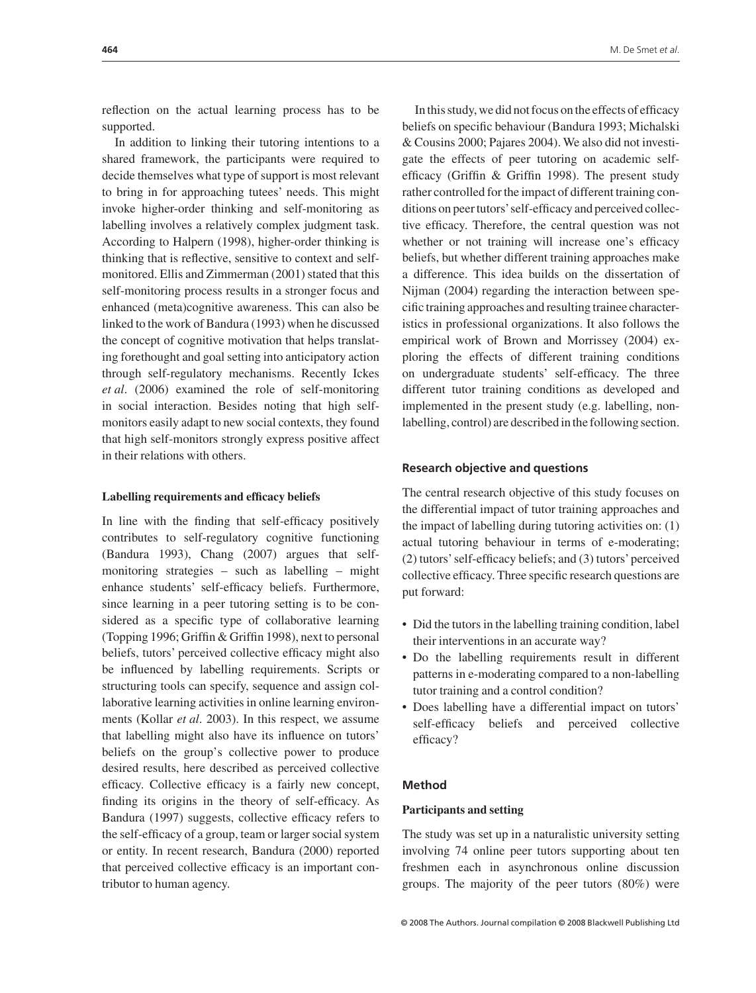reflection on the actual learning process has to be supported.

In addition to linking their tutoring intentions to a shared framework, the participants were required to decide themselves what type of support is most relevant to bring in for approaching tutees' needs. This might invoke higher-order thinking and self-monitoring as labelling involves a relatively complex judgment task. According to Halpern (1998), higher-order thinking is thinking that is reflective, sensitive to context and selfmonitored. Ellis and Zimmerman (2001) stated that this self-monitoring process results in a stronger focus and enhanced (meta)cognitive awareness. This can also be linked to the work of Bandura (1993) when he discussed the concept of cognitive motivation that helps translating forethought and goal setting into anticipatory action through self-regulatory mechanisms. Recently Ickes *et al*. (2006) examined the role of self-monitoring in social interaction. Besides noting that high selfmonitors easily adapt to new social contexts, they found that high self-monitors strongly express positive affect in their relations with others.

## **Labelling requirements and efficacy beliefs**

In line with the finding that self-efficacy positively contributes to self-regulatory cognitive functioning (Bandura 1993), Chang (2007) argues that selfmonitoring strategies – such as labelling – might enhance students' self-efficacy beliefs. Furthermore, since learning in a peer tutoring setting is to be considered as a specific type of collaborative learning (Topping 1996; Griffin & Griffin 1998), next to personal beliefs, tutors' perceived collective efficacy might also be influenced by labelling requirements. Scripts or structuring tools can specify, sequence and assign collaborative learning activities in online learning environments (Kollar *et al*. 2003). In this respect, we assume that labelling might also have its influence on tutors' beliefs on the group's collective power to produce desired results, here described as perceived collective efficacy. Collective efficacy is a fairly new concept, finding its origins in the theory of self-efficacy. As Bandura (1997) suggests, collective efficacy refers to the self-efficacy of a group, team or larger social system or entity. In recent research, Bandura (2000) reported that perceived collective efficacy is an important contributor to human agency.

In this study, we did not focus on the effects of efficacy beliefs on specific behaviour (Bandura 1993; Michalski & Cousins 2000; Pajares 2004). We also did not investigate the effects of peer tutoring on academic selfefficacy (Griffin & Griffin 1998). The present study rather controlled for the impact of different training conditions on peer tutors'self-efficacy and perceived collective efficacy. Therefore, the central question was not whether or not training will increase one's efficacy beliefs, but whether different training approaches make a difference. This idea builds on the dissertation of Nijman (2004) regarding the interaction between specific training approaches and resulting trainee characteristics in professional organizations. It also follows the empirical work of Brown and Morrissey (2004) exploring the effects of different training conditions on undergraduate students' self-efficacy. The three different tutor training conditions as developed and implemented in the present study (e.g. labelling, nonlabelling, control) are described in the following section.

#### **Research objective and questions**

The central research objective of this study focuses on the differential impact of tutor training approaches and the impact of labelling during tutoring activities on: (1) actual tutoring behaviour in terms of e-moderating; (2) tutors'self-efficacy beliefs; and (3) tutors'perceived collective efficacy. Three specific research questions are put forward:

- Did the tutors in the labelling training condition, label their interventions in an accurate way?
- Do the labelling requirements result in different patterns in e-moderating compared to a non-labelling tutor training and a control condition?
- Does labelling have a differential impact on tutors' self-efficacy beliefs and perceived collective efficacy?

# **Method**

## **Participants and setting**

The study was set up in a naturalistic university setting involving 74 online peer tutors supporting about ten freshmen each in asynchronous online discussion groups. The majority of the peer tutors (80%) were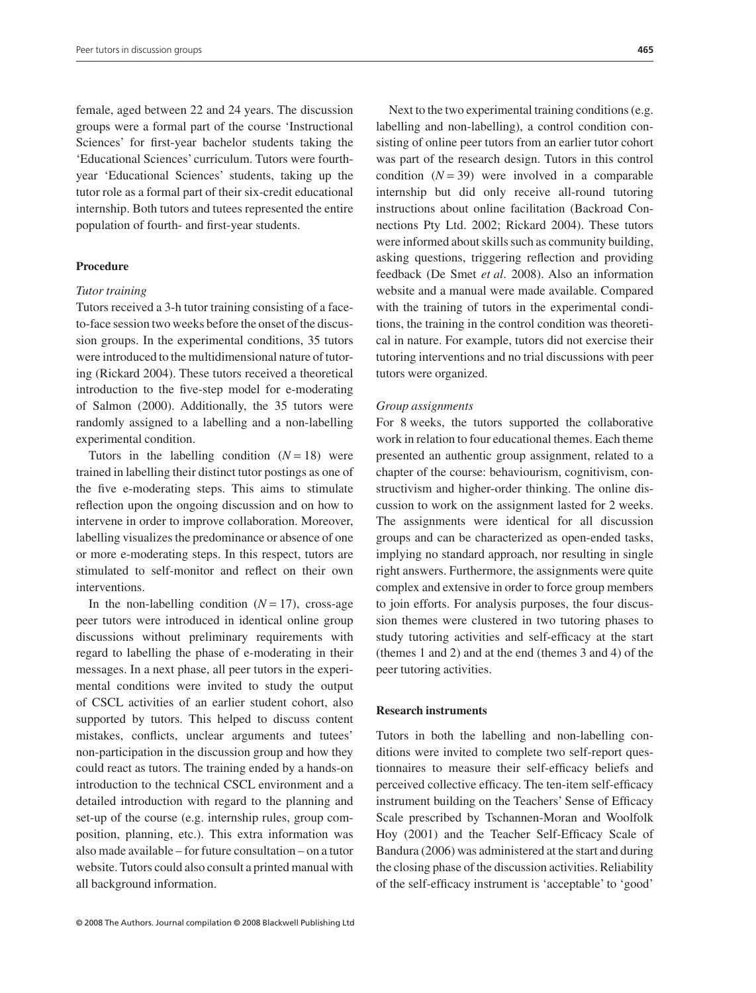female, aged between 22 and 24 years. The discussion groups were a formal part of the course 'Instructional Sciences' for first-year bachelor students taking the 'Educational Sciences' curriculum. Tutors were fourthyear 'Educational Sciences' students, taking up the tutor role as a formal part of their six-credit educational internship. Both tutors and tutees represented the entire population of fourth- and first-year students.

#### **Procedure**

#### *Tutor training*

Tutors received a 3-h tutor training consisting of a faceto-face session two weeks before the onset of the discussion groups. In the experimental conditions, 35 tutors were introduced to the multidimensional nature of tutoring (Rickard 2004). These tutors received a theoretical introduction to the five-step model for e-moderating of Salmon (2000). Additionally, the 35 tutors were randomly assigned to a labelling and a non-labelling experimental condition.

Tutors in the labelling condition  $(N = 18)$  were trained in labelling their distinct tutor postings as one of the five e-moderating steps. This aims to stimulate reflection upon the ongoing discussion and on how to intervene in order to improve collaboration. Moreover, labelling visualizes the predominance or absence of one or more e-moderating steps. In this respect, tutors are stimulated to self-monitor and reflect on their own interventions.

In the non-labelling condition  $(N = 17)$ , cross-age peer tutors were introduced in identical online group discussions without preliminary requirements with regard to labelling the phase of e-moderating in their messages. In a next phase, all peer tutors in the experimental conditions were invited to study the output of CSCL activities of an earlier student cohort, also supported by tutors. This helped to discuss content mistakes, conflicts, unclear arguments and tutees' non-participation in the discussion group and how they could react as tutors. The training ended by a hands-on introduction to the technical CSCL environment and a detailed introduction with regard to the planning and set-up of the course (e.g. internship rules, group composition, planning, etc.). This extra information was also made available – for future consultation – on a tutor website. Tutors could also consult a printed manual with all background information.

Next to the two experimental training conditions (e.g. labelling and non-labelling), a control condition consisting of online peer tutors from an earlier tutor cohort was part of the research design. Tutors in this control condition  $(N = 39)$  were involved in a comparable internship but did only receive all-round tutoring instructions about online facilitation (Backroad Connections Pty Ltd. 2002; Rickard 2004). These tutors were informed about skills such as community building, asking questions, triggering reflection and providing feedback (De Smet *et al*. 2008). Also an information website and a manual were made available. Compared with the training of tutors in the experimental conditions, the training in the control condition was theoretical in nature. For example, tutors did not exercise their tutoring interventions and no trial discussions with peer tutors were organized.

#### *Group assignments*

For 8 weeks, the tutors supported the collaborative work in relation to four educational themes. Each theme presented an authentic group assignment, related to a chapter of the course: behaviourism, cognitivism, constructivism and higher-order thinking. The online discussion to work on the assignment lasted for 2 weeks. The assignments were identical for all discussion groups and can be characterized as open-ended tasks, implying no standard approach, nor resulting in single right answers. Furthermore, the assignments were quite complex and extensive in order to force group members to join efforts. For analysis purposes, the four discussion themes were clustered in two tutoring phases to study tutoring activities and self-efficacy at the start (themes 1 and 2) and at the end (themes 3 and 4) of the peer tutoring activities.

## **Research instruments**

Tutors in both the labelling and non-labelling conditions were invited to complete two self-report questionnaires to measure their self-efficacy beliefs and perceived collective efficacy. The ten-item self-efficacy instrument building on the Teachers' Sense of Efficacy Scale prescribed by Tschannen-Moran and Woolfolk Hoy (2001) and the Teacher Self-Efficacy Scale of Bandura (2006) was administered at the start and during the closing phase of the discussion activities. Reliability of the self-efficacy instrument is 'acceptable' to 'good'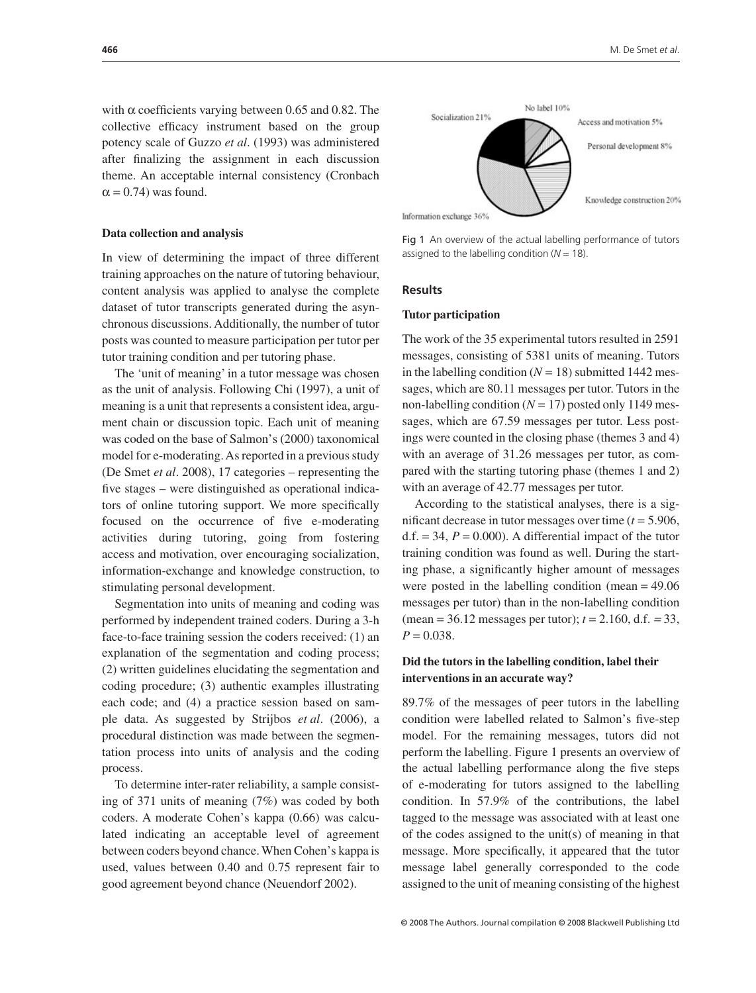with  $\alpha$  coefficients varying between 0.65 and 0.82. The collective efficacy instrument based on the group potency scale of Guzzo *et al*. (1993) was administered after finalizing the assignment in each discussion theme. An acceptable internal consistency (Cronbach  $\alpha$  = 0.74) was found.

#### **Data collection and analysis**

In view of determining the impact of three different training approaches on the nature of tutoring behaviour, content analysis was applied to analyse the complete dataset of tutor transcripts generated during the asynchronous discussions. Additionally, the number of tutor posts was counted to measure participation per tutor per tutor training condition and per tutoring phase.

The 'unit of meaning' in a tutor message was chosen as the unit of analysis. Following Chi (1997), a unit of meaning is a unit that represents a consistent idea, argument chain or discussion topic. Each unit of meaning was coded on the base of Salmon's (2000) taxonomical model for e-moderating. As reported in a previous study (De Smet *et al*. 2008), 17 categories – representing the five stages – were distinguished as operational indicators of online tutoring support. We more specifically focused on the occurrence of five e-moderating activities during tutoring, going from fostering access and motivation, over encouraging socialization, information-exchange and knowledge construction, to stimulating personal development.

Segmentation into units of meaning and coding was performed by independent trained coders. During a 3-h face-to-face training session the coders received: (1) an explanation of the segmentation and coding process; (2) written guidelines elucidating the segmentation and coding procedure; (3) authentic examples illustrating each code; and (4) a practice session based on sample data. As suggested by Strijbos *et al*. (2006), a procedural distinction was made between the segmentation process into units of analysis and the coding process.

To determine inter-rater reliability, a sample consisting of 371 units of meaning (7%) was coded by both coders. A moderate Cohen's kappa (0.66) was calculated indicating an acceptable level of agreement between coders beyond chance. When Cohen's kappa is used, values between 0.40 and 0.75 represent fair to good agreement beyond chance (Neuendorf 2002).



Fig 1 An overview of the actual labelling performance of tutors assigned to the labelling condition (*N* = 18).

#### **Results**

#### **Tutor participation**

The work of the 35 experimental tutors resulted in 2591 messages, consisting of 5381 units of meaning. Tutors in the labelling condition  $(N = 18)$  submitted 1442 messages, which are 80.11 messages per tutor. Tutors in the non-labelling condition  $(N = 17)$  posted only 1149 messages, which are 67.59 messages per tutor. Less postings were counted in the closing phase (themes 3 and 4) with an average of 31.26 messages per tutor, as compared with the starting tutoring phase (themes 1 and 2) with an average of 42.77 messages per tutor.

According to the statistical analyses, there is a significant decrease in tutor messages over time (*t* = 5.906,  $d.f. = 34, P = 0.000$ . A differential impact of the tutor training condition was found as well. During the starting phase, a significantly higher amount of messages were posted in the labelling condition (mean = 49.06 messages per tutor) than in the non-labelling condition (mean =  $36.12$  messages per tutor);  $t = 2.160$ , d.f. =  $33$ ,  $P = 0.038$ .

# **Did the tutors in the labelling condition, label their interventions in an accurate way?**

89.7% of the messages of peer tutors in the labelling condition were labelled related to Salmon's five-step model. For the remaining messages, tutors did not perform the labelling. Figure 1 presents an overview of the actual labelling performance along the five steps of e-moderating for tutors assigned to the labelling condition. In 57.9% of the contributions, the label tagged to the message was associated with at least one of the codes assigned to the unit(s) of meaning in that message. More specifically, it appeared that the tutor message label generally corresponded to the code assigned to the unit of meaning consisting of the highest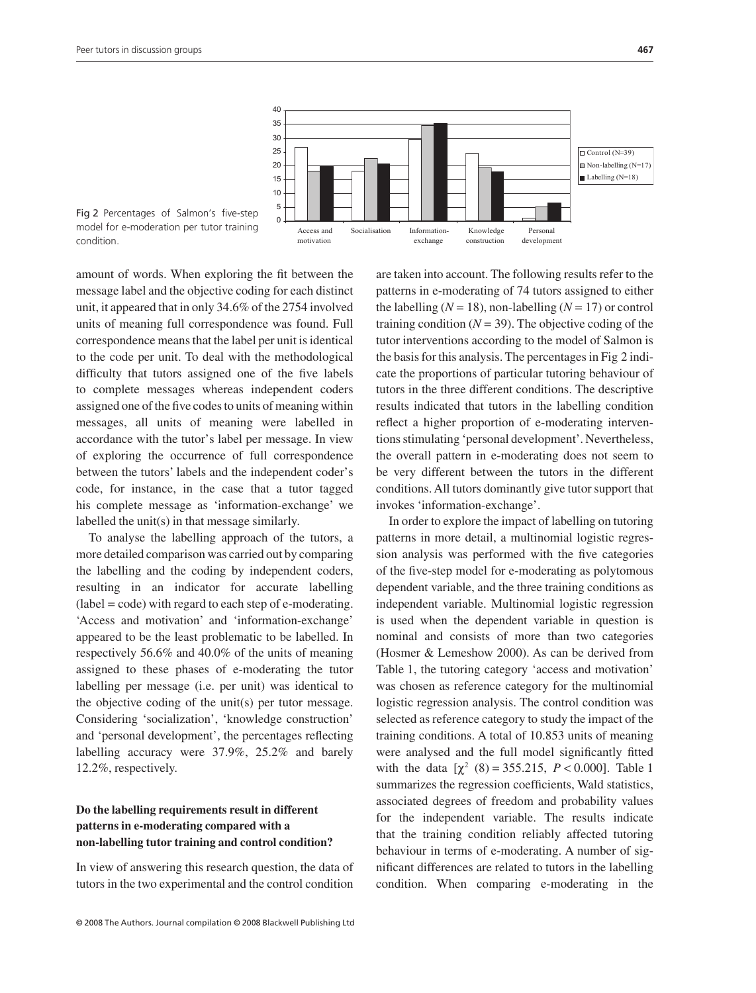



amount of words. When exploring the fit between the message label and the objective coding for each distinct unit, it appeared that in only 34.6% of the 2754 involved units of meaning full correspondence was found. Full correspondence means that the label per unit is identical to the code per unit. To deal with the methodological difficulty that tutors assigned one of the five labels to complete messages whereas independent coders assigned one of the five codes to units of meaning within messages, all units of meaning were labelled in accordance with the tutor's label per message. In view of exploring the occurrence of full correspondence between the tutors' labels and the independent coder's code, for instance, in the case that a tutor tagged his complete message as 'information-exchange' we labelled the unit(s) in that message similarly.

To analyse the labelling approach of the tutors, a more detailed comparison was carried out by comparing the labelling and the coding by independent coders, resulting in an indicator for accurate labelling (label = code) with regard to each step of e-moderating. 'Access and motivation' and 'information-exchange' appeared to be the least problematic to be labelled. In respectively 56.6% and 40.0% of the units of meaning assigned to these phases of e-moderating the tutor labelling per message (i.e. per unit) was identical to the objective coding of the unit(s) per tutor message. Considering 'socialization', 'knowledge construction' and 'personal development', the percentages reflecting labelling accuracy were 37.9%, 25.2% and barely 12.2%, respectively.

# **Do the labelling requirements result in different patterns in e-moderating compared with a non-labelling tutor training and control condition?**

In view of answering this research question, the data of tutors in the two experimental and the control condition are taken into account. The following results refer to the patterns in e-moderating of 74 tutors assigned to either the labelling  $(N = 18)$ , non-labelling  $(N = 17)$  or control training condition  $(N = 39)$ . The objective coding of the tutor interventions according to the model of Salmon is the basis for this analysis. The percentages in Fig 2 indicate the proportions of particular tutoring behaviour of tutors in the three different conditions. The descriptive results indicated that tutors in the labelling condition reflect a higher proportion of e-moderating interventions stimulating 'personal development'. Nevertheless, the overall pattern in e-moderating does not seem to be very different between the tutors in the different conditions. All tutors dominantly give tutor support that invokes 'information-exchange'.

In order to explore the impact of labelling on tutoring patterns in more detail, a multinomial logistic regression analysis was performed with the five categories of the five-step model for e-moderating as polytomous dependent variable, and the three training conditions as independent variable. Multinomial logistic regression is used when the dependent variable in question is nominal and consists of more than two categories (Hosmer & Lemeshow 2000). As can be derived from Table 1, the tutoring category 'access and motivation' was chosen as reference category for the multinomial logistic regression analysis. The control condition was selected as reference category to study the impact of the training conditions. A total of 10.853 units of meaning were analysed and the full model significantly fitted with the data  $[\chi^2 (8) = 355.215, P < 0.000]$ . Table 1 summarizes the regression coefficients, Wald statistics, associated degrees of freedom and probability values for the independent variable. The results indicate that the training condition reliably affected tutoring behaviour in terms of e-moderating. A number of significant differences are related to tutors in the labelling condition. When comparing e-moderating in the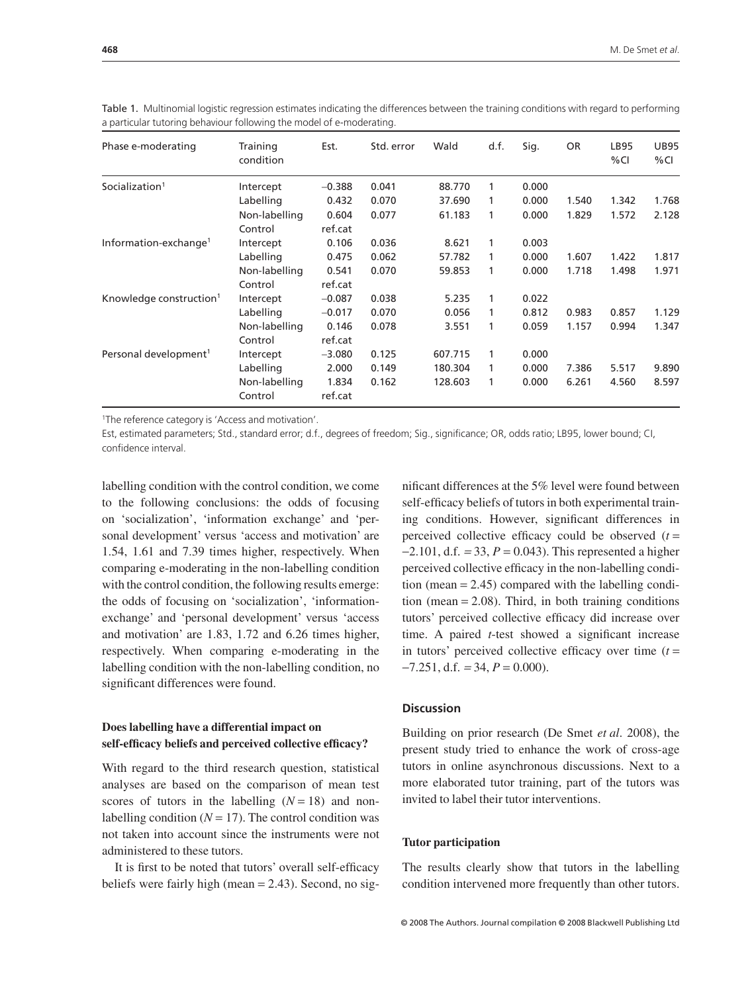Phase e-moderating Training condition Est. Std. error Wald d.f. Sig. OR LB95 %CI UB95  $0/2$ CI  $\textsf{Socialization}^\text{1}\qquad \qquad \textsf{Intercept} \qquad \quad \textsf{-0.388} \quad \textsf{0.041} \qquad \qquad \textsf{88.770} \quad \textsf{1} \qquad \textsf{0.000}$ Labelling 0.432 0.070 37.690 1 0.000 1.540 1.342 1.768 Non-labelling 0.604 0.077 61.183 1 0.000 1.829 1.572 2.128 Control ref.cat Information-exchange1 Intercept 0.106 0.036 8.621 1 0.003 Labelling 0.475 0.062 57.782 1 0.000 1.607 1.422 1.817 Non-labelling 0.541 0.070 59.853 1 0.000 1.718 1.498 1.971 Control ref.cat Knowledge construction<sup>1</sup> Intercept -0.087 0.038 5.235 1 0.022 Labelling -0.017 0.070 0.056 1 0.812 0.983 0.857 1.129 Non-labelling 0.146 0.078 3.551 1 0.059 1.157 0.994 1.347 Control ref.cat Personal development<sup>1</sup> Intercept -3.080 0.125 607.715 1 0.000 Labelling 2.000 0.149 180.304 1 0.000 7.386 5.517 9.890 Non-labelling 1.834 0.162 128.603 1 0.000 6.261 4.560 8.597 Control ref.cat

Table 1. Multinomial logistic regression estimates indicating the differences between the training conditions with regard to performing a particular tutoring behaviour following the model of e-moderating.

1 The reference category is 'Access and motivation'.

Est, estimated parameters; Std., standard error; d.f., degrees of freedom; Sig., significance; OR, odds ratio; LB95, lower bound; CI, confidence interval.

labelling condition with the control condition, we come to the following conclusions: the odds of focusing on 'socialization', 'information exchange' and 'personal development' versus 'access and motivation' are 1.54, 1.61 and 7.39 times higher, respectively. When comparing e-moderating in the non-labelling condition with the control condition, the following results emerge: the odds of focusing on 'socialization', 'informationexchange' and 'personal development' versus 'access and motivation' are 1.83, 1.72 and 6.26 times higher, respectively. When comparing e-moderating in the labelling condition with the non-labelling condition, no significant differences were found.

# **Does labelling have a differential impact on self-efficacy beliefs and perceived collective efficacy?**

With regard to the third research question, statistical analyses are based on the comparison of mean test scores of tutors in the labelling  $(N = 18)$  and nonlabelling condition  $(N = 17)$ . The control condition was not taken into account since the instruments were not administered to these tutors.

It is first to be noted that tutors' overall self-efficacy beliefs were fairly high (mean = 2.43). Second, no significant differences at the 5% level were found between self-efficacy beliefs of tutors in both experimental training conditions. However, significant differences in perceived collective efficacy could be observed  $(t =$  $-2.101$ , d.f.  $= 33$ ,  $P = 0.043$ ). This represented a higher perceived collective efficacy in the non-labelling condition (mean  $= 2.45$ ) compared with the labelling condition (mean  $= 2.08$ ). Third, in both training conditions tutors' perceived collective efficacy did increase over time. A paired *t*-test showed a significant increase in tutors' perceived collective efficacy over time  $(t =$  $-7.251$ , d.f.  $= 34$ ,  $P = 0.000$ ).

# **Discussion**

Building on prior research (De Smet *et al*. 2008), the present study tried to enhance the work of cross-age tutors in online asynchronous discussions. Next to a more elaborated tutor training, part of the tutors was invited to label their tutor interventions.

#### **Tutor participation**

The results clearly show that tutors in the labelling condition intervened more frequently than other tutors.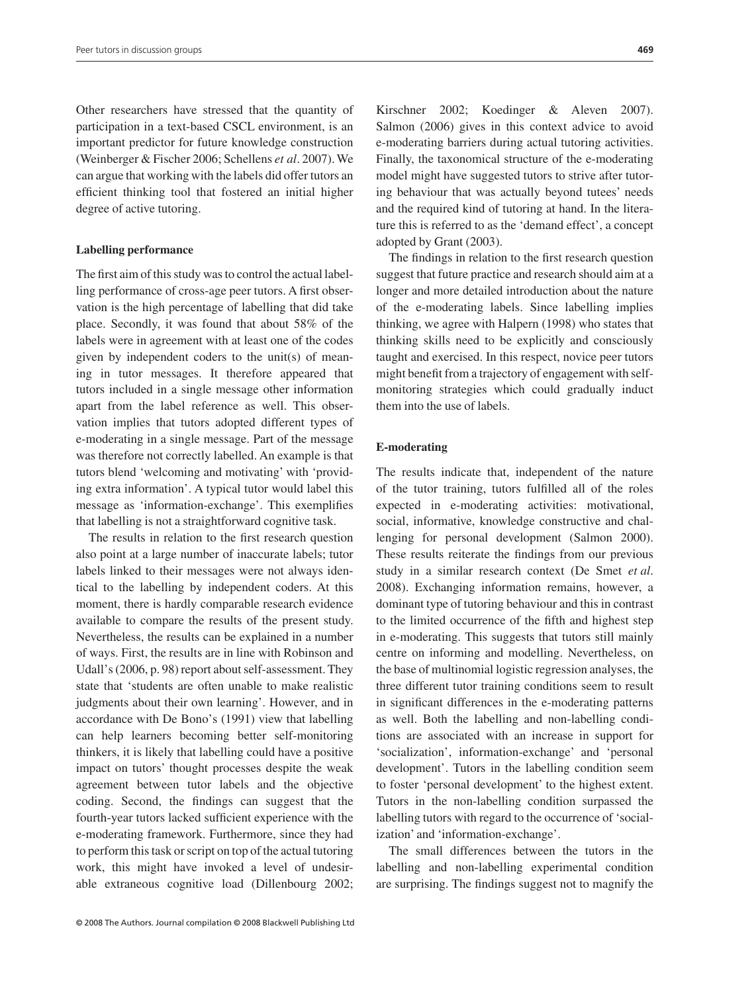Other researchers have stressed that the quantity of participation in a text-based CSCL environment, is an important predictor for future knowledge construction (Weinberger & Fischer 2006; Schellens *et al*. 2007). We can argue that working with the labels did offer tutors an efficient thinking tool that fostered an initial higher degree of active tutoring.

#### **Labelling performance**

The first aim of this study was to control the actual labelling performance of cross-age peer tutors. A first observation is the high percentage of labelling that did take place. Secondly, it was found that about 58% of the labels were in agreement with at least one of the codes given by independent coders to the unit(s) of meaning in tutor messages. It therefore appeared that tutors included in a single message other information apart from the label reference as well. This observation implies that tutors adopted different types of e-moderating in a single message. Part of the message was therefore not correctly labelled. An example is that tutors blend 'welcoming and motivating' with 'providing extra information'. A typical tutor would label this message as 'information-exchange'. This exemplifies that labelling is not a straightforward cognitive task.

The results in relation to the first research question also point at a large number of inaccurate labels; tutor labels linked to their messages were not always identical to the labelling by independent coders. At this moment, there is hardly comparable research evidence available to compare the results of the present study. Nevertheless, the results can be explained in a number of ways. First, the results are in line with Robinson and Udall's (2006, p. 98) report about self-assessment. They state that 'students are often unable to make realistic judgments about their own learning'. However, and in accordance with De Bono's (1991) view that labelling can help learners becoming better self-monitoring thinkers, it is likely that labelling could have a positive impact on tutors' thought processes despite the weak agreement between tutor labels and the objective coding. Second, the findings can suggest that the fourth-year tutors lacked sufficient experience with the e-moderating framework. Furthermore, since they had to perform this task or script on top of the actual tutoring work, this might have invoked a level of undesirable extraneous cognitive load (Dillenbourg 2002; Kirschner 2002; Koedinger & Aleven 2007). Salmon (2006) gives in this context advice to avoid e-moderating barriers during actual tutoring activities. Finally, the taxonomical structure of the e-moderating model might have suggested tutors to strive after tutoring behaviour that was actually beyond tutees' needs and the required kind of tutoring at hand. In the literature this is referred to as the 'demand effect', a concept adopted by Grant (2003).

The findings in relation to the first research question suggest that future practice and research should aim at a longer and more detailed introduction about the nature of the e-moderating labels. Since labelling implies thinking, we agree with Halpern (1998) who states that thinking skills need to be explicitly and consciously taught and exercised. In this respect, novice peer tutors might benefit from a trajectory of engagement with selfmonitoring strategies which could gradually induct them into the use of labels.

#### **E-moderating**

The results indicate that, independent of the nature of the tutor training, tutors fulfilled all of the roles expected in e-moderating activities: motivational, social, informative, knowledge constructive and challenging for personal development (Salmon 2000). These results reiterate the findings from our previous study in a similar research context (De Smet *et al*. 2008). Exchanging information remains, however, a dominant type of tutoring behaviour and this in contrast to the limited occurrence of the fifth and highest step in e-moderating. This suggests that tutors still mainly centre on informing and modelling. Nevertheless, on the base of multinomial logistic regression analyses, the three different tutor training conditions seem to result in significant differences in the e-moderating patterns as well. Both the labelling and non-labelling conditions are associated with an increase in support for 'socialization', information-exchange' and 'personal development'. Tutors in the labelling condition seem to foster 'personal development' to the highest extent. Tutors in the non-labelling condition surpassed the labelling tutors with regard to the occurrence of 'socialization' and 'information-exchange'.

The small differences between the tutors in the labelling and non-labelling experimental condition are surprising. The findings suggest not to magnify the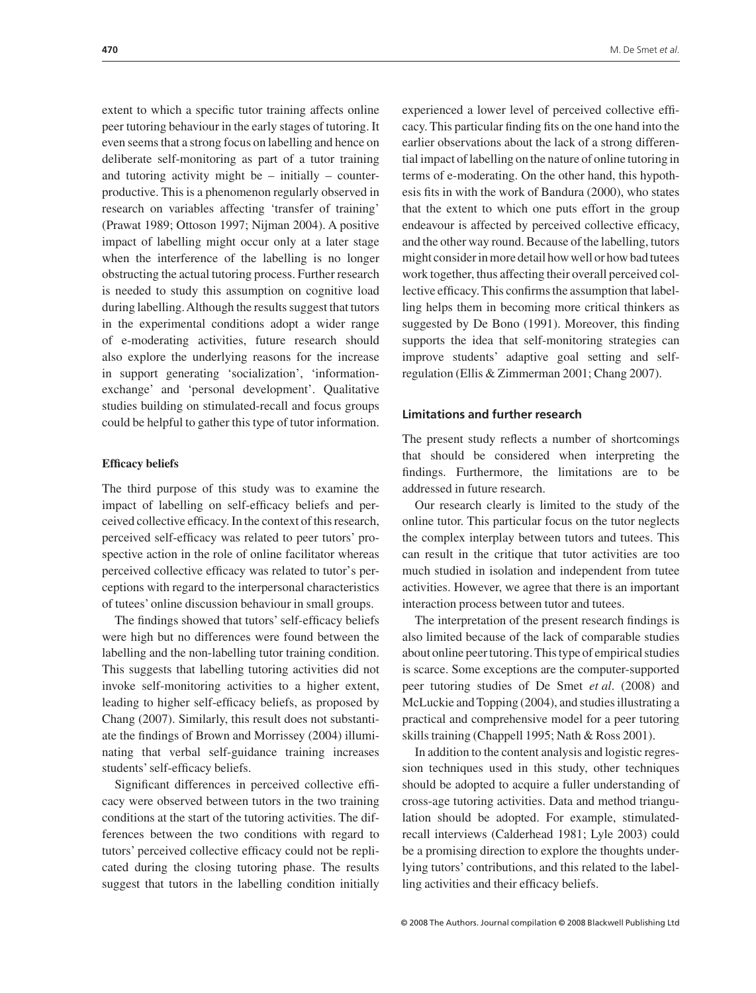extent to which a specific tutor training affects online peer tutoring behaviour in the early stages of tutoring. It even seems that a strong focus on labelling and hence on deliberate self-monitoring as part of a tutor training and tutoring activity might be  $-$  initially  $-$  counterproductive. This is a phenomenon regularly observed in research on variables affecting 'transfer of training' (Prawat 1989; Ottoson 1997; Nijman 2004). A positive impact of labelling might occur only at a later stage when the interference of the labelling is no longer obstructing the actual tutoring process. Further research is needed to study this assumption on cognitive load during labelling.Although the results suggest that tutors in the experimental conditions adopt a wider range of e-moderating activities, future research should also explore the underlying reasons for the increase in support generating 'socialization', 'informationexchange' and 'personal development'. Qualitative studies building on stimulated-recall and focus groups could be helpful to gather this type of tutor information.

# **Efficacy beliefs**

The third purpose of this study was to examine the impact of labelling on self-efficacy beliefs and perceived collective efficacy. In the context of this research, perceived self-efficacy was related to peer tutors' prospective action in the role of online facilitator whereas perceived collective efficacy was related to tutor's perceptions with regard to the interpersonal characteristics of tutees' online discussion behaviour in small groups.

The findings showed that tutors' self-efficacy beliefs were high but no differences were found between the labelling and the non-labelling tutor training condition. This suggests that labelling tutoring activities did not invoke self-monitoring activities to a higher extent, leading to higher self-efficacy beliefs, as proposed by Chang (2007). Similarly, this result does not substantiate the findings of Brown and Morrissey (2004) illuminating that verbal self-guidance training increases students' self-efficacy beliefs.

Significant differences in perceived collective efficacy were observed between tutors in the two training conditions at the start of the tutoring activities. The differences between the two conditions with regard to tutors' perceived collective efficacy could not be replicated during the closing tutoring phase. The results suggest that tutors in the labelling condition initially experienced a lower level of perceived collective efficacy. This particular finding fits on the one hand into the earlier observations about the lack of a strong differential impact of labelling on the nature of online tutoring in terms of e-moderating. On the other hand, this hypothesis fits in with the work of Bandura (2000), who states that the extent to which one puts effort in the group endeavour is affected by perceived collective efficacy, and the other way round. Because of the labelling, tutors might consider in more detail how well or how bad tutees work together, thus affecting their overall perceived collective efficacy. This confirms the assumption that labelling helps them in becoming more critical thinkers as suggested by De Bono (1991). Moreover, this finding supports the idea that self-monitoring strategies can improve students' adaptive goal setting and selfregulation (Ellis & Zimmerman 2001; Chang 2007).

# **Limitations and further research**

The present study reflects a number of shortcomings that should be considered when interpreting the findings. Furthermore, the limitations are to be addressed in future research.

Our research clearly is limited to the study of the online tutor. This particular focus on the tutor neglects the complex interplay between tutors and tutees. This can result in the critique that tutor activities are too much studied in isolation and independent from tutee activities. However, we agree that there is an important interaction process between tutor and tutees.

The interpretation of the present research findings is also limited because of the lack of comparable studies about online peer tutoring. This type of empirical studies is scarce. Some exceptions are the computer-supported peer tutoring studies of De Smet *et al*. (2008) and McLuckie and Topping (2004), and studies illustrating a practical and comprehensive model for a peer tutoring skills training (Chappell 1995; Nath & Ross 2001).

In addition to the content analysis and logistic regression techniques used in this study, other techniques should be adopted to acquire a fuller understanding of cross-age tutoring activities. Data and method triangulation should be adopted. For example, stimulatedrecall interviews (Calderhead 1981; Lyle 2003) could be a promising direction to explore the thoughts underlying tutors' contributions, and this related to the labelling activities and their efficacy beliefs.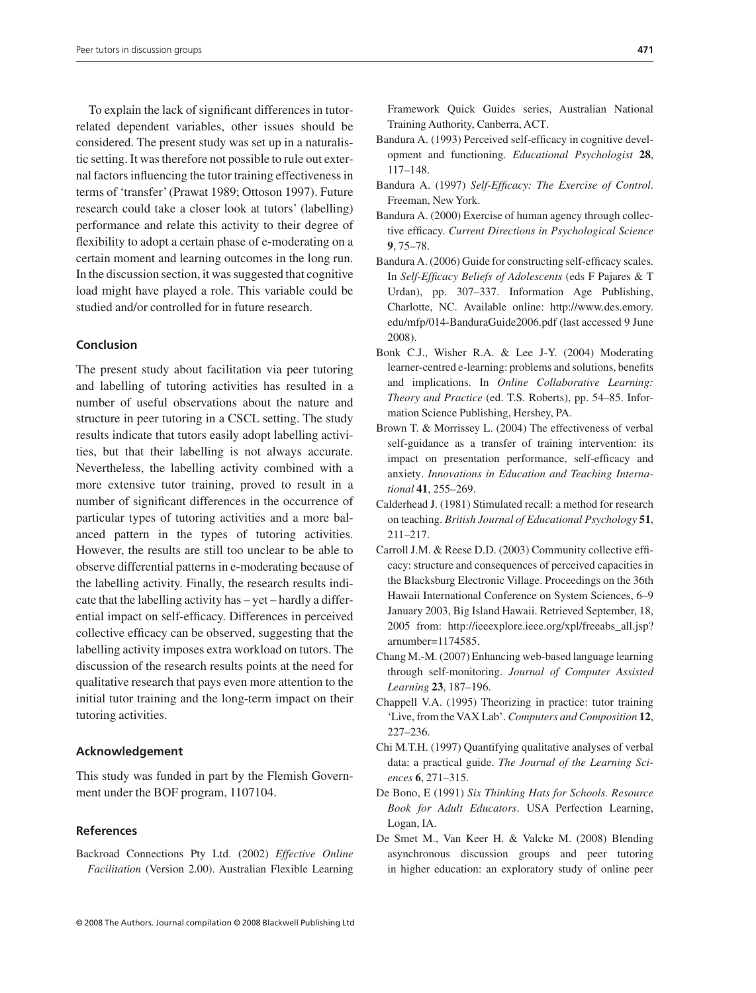To explain the lack of significant differences in tutorrelated dependent variables, other issues should be considered. The present study was set up in a naturalistic setting. It was therefore not possible to rule out external factors influencing the tutor training effectiveness in terms of 'transfer' (Prawat 1989; Ottoson 1997). Future research could take a closer look at tutors' (labelling) performance and relate this activity to their degree of flexibility to adopt a certain phase of e-moderating on a certain moment and learning outcomes in the long run. In the discussion section, it was suggested that cognitive load might have played a role. This variable could be studied and/or controlled for in future research.

# **Conclusion**

The present study about facilitation via peer tutoring and labelling of tutoring activities has resulted in a number of useful observations about the nature and structure in peer tutoring in a CSCL setting. The study results indicate that tutors easily adopt labelling activities, but that their labelling is not always accurate. Nevertheless, the labelling activity combined with a more extensive tutor training, proved to result in a number of significant differences in the occurrence of particular types of tutoring activities and a more balanced pattern in the types of tutoring activities. However, the results are still too unclear to be able to observe differential patterns in e-moderating because of the labelling activity. Finally, the research results indicate that the labelling activity has – yet – hardly a differential impact on self-efficacy. Differences in perceived collective efficacy can be observed, suggesting that the labelling activity imposes extra workload on tutors. The discussion of the research results points at the need for qualitative research that pays even more attention to the initial tutor training and the long-term impact on their tutoring activities.

# **Acknowledgement**

This study was funded in part by the Flemish Government under the BOF program, 1107104.

# **References**

Backroad Connections Pty Ltd. (2002) *Effective Online Facilitation* (Version 2.00). Australian Flexible Learning

- Bandura A. (1993) Perceived self-efficacy in cognitive development and functioning. *Educational Psychologist* **28**, 117–148.
- Bandura A. (1997) *Self-Efficacy: The Exercise of Control*. Freeman, NewYork.
- Bandura A. (2000) Exercise of human agency through collective efficacy. *Current Directions in Psychological Science* **9**, 75–78.
- Bandura A. (2006) Guide for constructing self-efficacy scales. In *Self-Efficacy Beliefs of Adolescents* (eds F Pajares & T Urdan), pp. 307–337. Information Age Publishing, Charlotte, NC. Available online: [http://www.des.emory.](http://www.des.emory) edu/mfp/014-BanduraGuide2006.pdf (last accessed 9 June 2008).
- Bonk C.J., Wisher R.A. & Lee J-Y. (2004) Moderating learner-centred e-learning: problems and solutions, benefits and implications. In *Online Collaborative Learning: Theory and Practice* (ed. T.S. Roberts), pp. 54–85. Information Science Publishing, Hershey, PA.
- Brown T. & Morrissey L. (2004) The effectiveness of verbal self-guidance as a transfer of training intervention: its impact on presentation performance, self-efficacy and anxiety. *Innovations in Education and Teaching International* **41**, 255–269.
- Calderhead J. (1981) Stimulated recall: a method for research on teaching. *British Journal of Educational Psychology* **51**, 211–217.
- Carroll J.M. & Reese D.D. (2003) Community collective efficacy: structure and consequences of perceived capacities in the Blacksburg Electronic Village. Proceedings on the 36th Hawaii International Conference on System Sciences, 6–9 January 2003, Big Island Hawaii. Retrieved September, 18, 2005 from: [http://ieeexplore.ieee.org/xpl/freeabs\\_all.jsp?](http://ieeexplore.ieee.org/xpl/freeabs_all.jsp?) arnumber=1174585.
- Chang M.-M. (2007) Enhancing web-based language learning through self-monitoring. *Journal of Computer Assisted Learning* **23**, 187–196.
- Chappell V.A. (1995) Theorizing in practice: tutor training 'Live, from the VAX Lab'. *Computers and Composition* **12**, 227–236.
- Chi M.T.H. (1997) Quantifying qualitative analyses of verbal data: a practical guide. *The Journal of the Learning Sciences* **6**, 271–315.
- De Bono, E (1991) *Six Thinking Hats for Schools. Resource Book for Adult Educators*. USA Perfection Learning, Logan, IA.
- De Smet M., Van Keer H. & Valcke M. (2008) Blending asynchronous discussion groups and peer tutoring in higher education: an exploratory study of online peer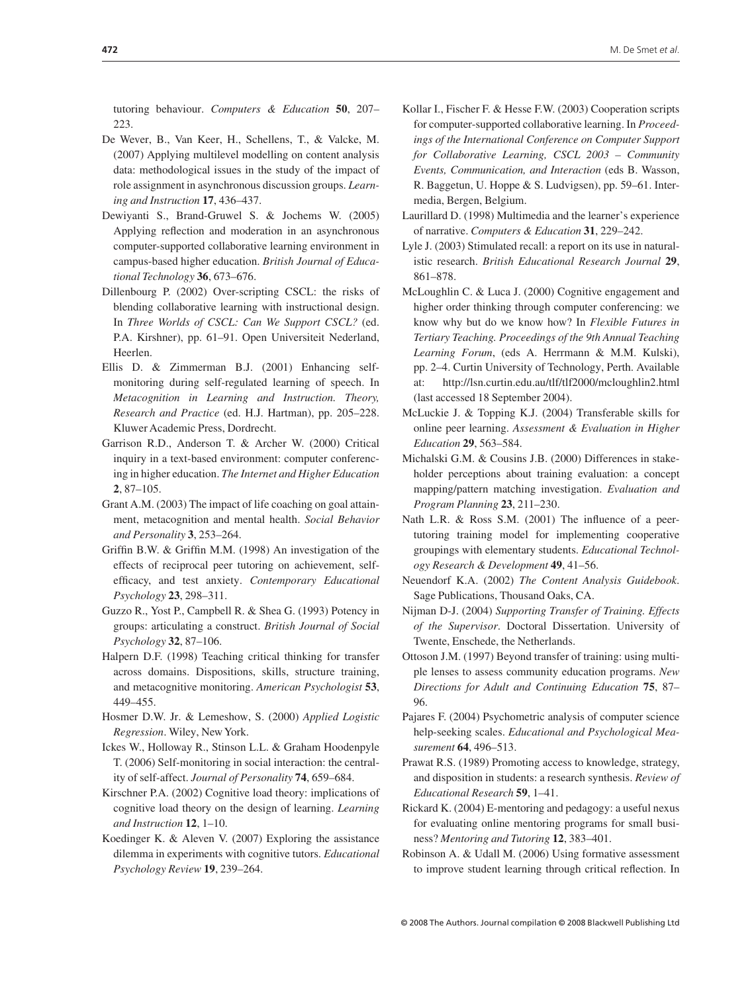tutoring behaviour. *Computers & Education* **50**, 207–  $223$ 

- De Wever, B., Van Keer, H., Schellens, T., & Valcke, M. (2007) Applying multilevel modelling on content analysis data: methodological issues in the study of the impact of role assignment in asynchronous discussion groups. *Learning and Instruction* **17**, 436–437.
- Dewiyanti S., Brand-Gruwel S. & Jochems W. (2005) Applying reflection and moderation in an asynchronous computer-supported collaborative learning environment in campus-based higher education. *British Journal of Educational Technology* **36**, 673–676.
- Dillenbourg P. (2002) Over-scripting CSCL: the risks of blending collaborative learning with instructional design. In *Three Worlds of CSCL: Can We Support CSCL?* (ed. P.A. Kirshner), pp. 61–91. Open Universiteit Nederland, Heerlen.
- Ellis D. & Zimmerman B.J. (2001) Enhancing selfmonitoring during self-regulated learning of speech. In *Metacognition in Learning and Instruction. Theory, Research and Practice* (ed. H.J. Hartman), pp. 205–228. Kluwer Academic Press, Dordrecht.
- Garrison R.D., Anderson T. & Archer W. (2000) Critical inquiry in a text-based environment: computer conferencing in higher education. *The Internet and Higher Education* **2**, 87–105.
- Grant A.M. (2003) The impact of life coaching on goal attainment, metacognition and mental health. *Social Behavior and Personality* **3**, 253–264.
- Griffin B.W. & Griffin M.M. (1998) An investigation of the effects of reciprocal peer tutoring on achievement, selfefficacy, and test anxiety. *Contemporary Educational Psychology* **23**, 298–311.
- Guzzo R., Yost P., Campbell R. & Shea G. (1993) Potency in groups: articulating a construct. *British Journal of Social Psychology* **32**, 87–106.
- Halpern D.F. (1998) Teaching critical thinking for transfer across domains. Dispositions, skills, structure training, and metacognitive monitoring. *American Psychologist* **53**, 449–455.
- Hosmer D.W. Jr. & Lemeshow, S. (2000) *Applied Logistic Regression*. Wiley, NewYork.
- Ickes W., Holloway R., Stinson L.L. & Graham Hoodenpyle T. (2006) Self-monitoring in social interaction: the centrality of self-affect. *Journal of Personality* **74**, 659–684.
- Kirschner P.A. (2002) Cognitive load theory: implications of cognitive load theory on the design of learning. *Learning and Instruction* **12**, 1–10.
- Koedinger K. & Aleven V. (2007) Exploring the assistance dilemma in experiments with cognitive tutors. *Educational Psychology Review* **19**, 239–264.
- Kollar I., Fischer F. & Hesse F.W. (2003) Cooperation scripts for computer-supported collaborative learning. In *Proceedings of the International Conference on Computer Support for Collaborative Learning, CSCL 2003 – Community Events, Communication, and Interaction* (eds B. Wasson, R. Baggetun, U. Hoppe & S. Ludvigsen), pp. 59–61. Intermedia, Bergen, Belgium.
- Laurillard D. (1998) Multimedia and the learner's experience of narrative. *Computers & Education* **31**, 229–242.
- Lyle J. (2003) Stimulated recall: a report on its use in naturalistic research. *British Educational Research Journal* **29**, 861–878.
- McLoughlin C. & Luca J. (2000) Cognitive engagement and higher order thinking through computer conferencing: we know why but do we know how? In *Flexible Futures in Tertiary Teaching. Proceedings of the 9th Annual Teaching Learning Forum*, (eds A. Herrmann & M.M. Kulski), pp. 2–4. Curtin University of Technology, Perth. Available at:<http://lsn.curtin.edu.au/tlf/tlf2000/mcloughlin2.html> (last accessed 18 September 2004).
- McLuckie J. & Topping K.J. (2004) Transferable skills for online peer learning. *Assessment & Evaluation in Higher Education* **29**, 563–584.
- Michalski G.M. & Cousins J.B. (2000) Differences in stakeholder perceptions about training evaluation: a concept mapping/pattern matching investigation. *Evaluation and Program Planning* **23**, 211–230.
- Nath L.R. & Ross S.M. (2001) The influence of a peertutoring training model for implementing cooperative groupings with elementary students. *Educational Technology Research & Development* **49**, 41–56.
- Neuendorf K.A. (2002) *The Content Analysis Guidebook*. Sage Publications, Thousand Oaks, CA.
- Nijman D-J. (2004) *Supporting Transfer of Training. Effects of the Supervisor*. Doctoral Dissertation. University of Twente, Enschede, the Netherlands.
- Ottoson J.M. (1997) Beyond transfer of training: using multiple lenses to assess community education programs. *New Directions for Adult and Continuing Education* **75**, 87– 96.
- Pajares F. (2004) Psychometric analysis of computer science help-seeking scales. *Educational and Psychological Measurement* **64**, 496–513.
- Prawat R.S. (1989) Promoting access to knowledge, strategy, and disposition in students: a research synthesis. *Review of Educational Research* **59**, 1–41.
- Rickard K. (2004) E-mentoring and pedagogy: a useful nexus for evaluating online mentoring programs for small business? *Mentoring and Tutoring* **12**, 383–401.
- Robinson A. & Udall M. (2006) Using formative assessment to improve student learning through critical reflection. In